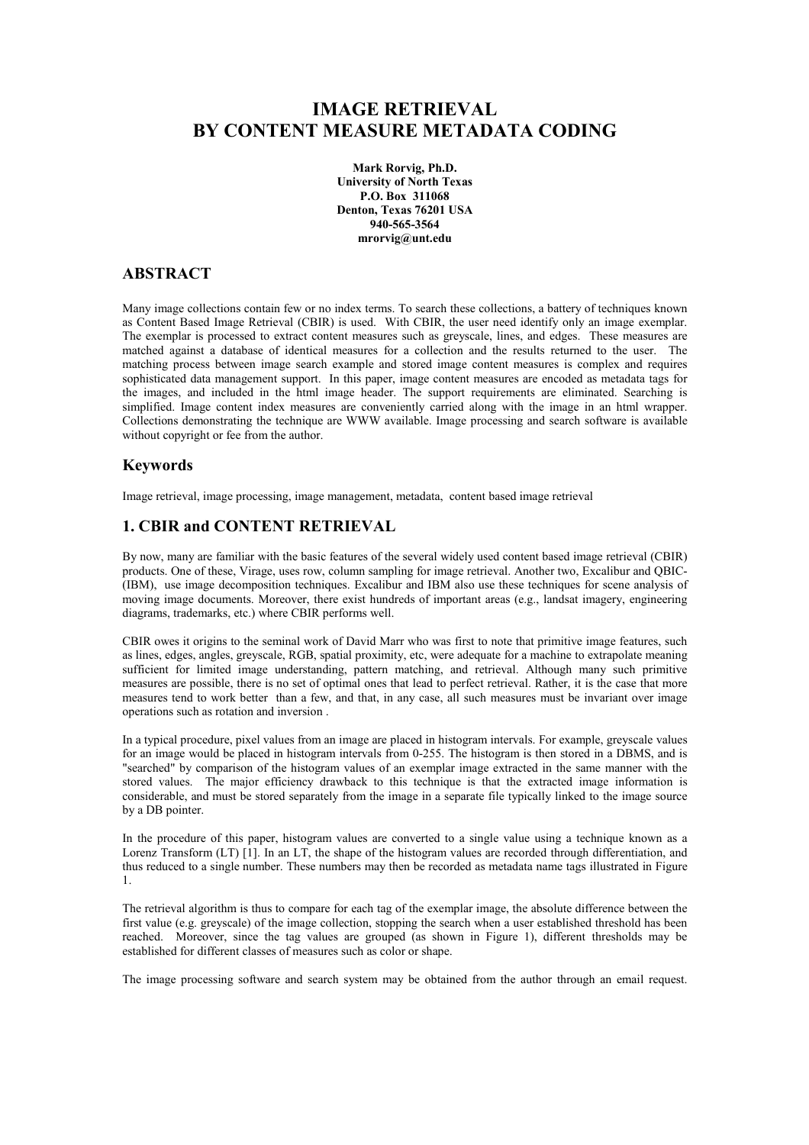# **IMAGE RETRIEVAL BY CONTENT MEASURE METADATA CODING**

**Mark Rorvig, Ph.D. University of North Texas P.O. Box 311068 Denton, Texas 76201 USA 940-565-3564 mrorvig@unt.edu**

# **ABSTRACT**

Many image collections contain few or no index terms. To search these collections, a battery of techniques known as Content Based Image Retrieval (CBIR) is used. With CBIR, the user need identify only an image exemplar. The exemplar is processed to extract content measures such as greyscale, lines, and edges. These measures are matched against a database of identical measures for a collection and the results returned to the user. The matching process between image search example and stored image content measures is complex and requires sophisticated data management support. In this paper, image content measures are encoded as metadata tags for the images, and included in the html image header. The support requirements are eliminated. Searching is simplified. Image content index measures are conveniently carried along with the image in an html wrapper. Collections demonstrating the technique are WWW available. Image processing and search software is available without copyright or fee from the author.

### **Keywords**

Image retrieval, image processing, image management, metadata, content based image retrieval

# **1. CBIR and CONTENT RETRIEVAL**

By now, many are familiar with the basic features of the several widely used content based image retrieval (CBIR) products. One of these, Virage, uses row, column sampling for image retrieval. Another two, Excalibur and QBIC- (IBM), use image decomposition techniques. Excalibur and IBM also use these techniques for scene analysis of moving image documents. Moreover, there exist hundreds of important areas (e.g., landsat imagery, engineering diagrams, trademarks, etc.) where CBIR performs well.

CBIR owes it origins to the seminal work of David Marr who was first to note that primitive image features, such as lines, edges, angles, greyscale, RGB, spatial proximity, etc, were adequate for a machine to extrapolate meaning sufficient for limited image understanding, pattern matching, and retrieval. Although many such primitive measures are possible, there is no set of optimal ones that lead to perfect retrieval. Rather, it is the case that more measures tend to work better than a few, and that, in any case, all such measures must be invariant over image operations such as rotation and inversion .

In a typical procedure, pixel values from an image are placed in histogram intervals. For example, greyscale values for an image would be placed in histogram intervals from 0-255. The histogram is then stored in a DBMS, and is "searched" by comparison of the histogram values of an exemplar image extracted in the same manner with the stored values. The major efficiency drawback to this technique is that the extracted image information is considerable, and must be stored separately from the image in a separate file typically linked to the image source by a DB pointer.

In the procedure of this paper, histogram values are converted to a single value using a technique known as a Lorenz Transform (LT) [1]. In an LT, the shape of the histogram values are recorded through differentiation, and thus reduced to a single number. These numbers may then be recorded as metadata name tags illustrated in Figure 1.

The retrieval algorithm is thus to compare for each tag of the exemplar image, the absolute difference between the first value (e.g. greyscale) of the image collection, stopping the search when a user established threshold has been reached. Moreover, since the tag values are grouped (as shown in Figure 1), different thresholds may be established for different classes of measures such as color or shape.

The image processing software and search system may be obtained from the author through an email request.